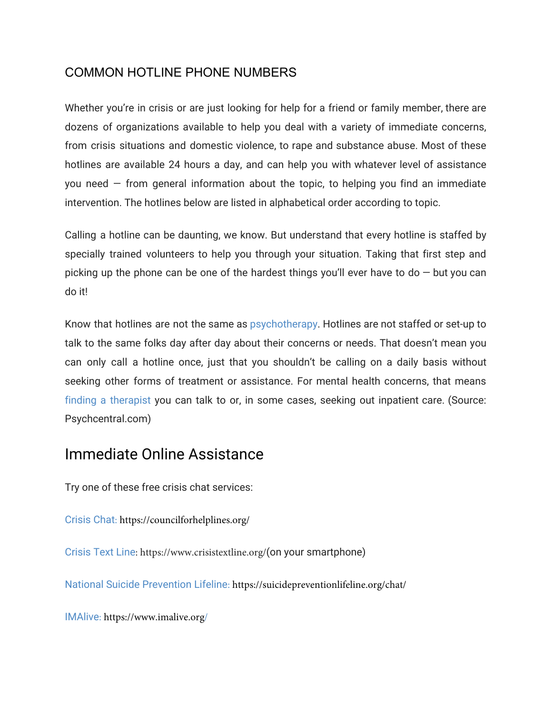## COMMON HOTLINE PHONE NUMBERS

Whether you're in crisis or are just looking for help for a friend or family member, there are dozens of organizations available to help you deal with a variety of immediate concerns, from crisis situations and domestic violence, to rape and substance abuse. Most of these hotlines are available 24 hours a day, and can help you with whatever level of assistance you need  $-$  from general information about the topic, to helping you find an immediate intervention. The hotlines below are listed in alphabetical order according to topic.

Calling a hotline can be daunting, we know. But understand that every hotline is staffed by specially trained volunteers to help you through your situation. Taking that first step and picking up the phone can be one of the hardest things you'll ever have to do  $-$  but you can do it!

Know that hotlines are not the same as [psychotherapy](https://psychcentral.com/psychotherapy/). Hotlines are not staffed or set-up to talk to the same folks day after day about their concerns or needs. That doesn't mean you can only call a hotline once, just that you shouldn't be calling on a daily basis without seeking other forms of treatment or assistance. For mental health concerns, that means [finding a therapist](https://psychcentral.com/find-help/) you can talk to or, in some cases, seeking out inpatient care. (Source: Psychcentral.com)

# Immediate Online Assistance

Try one of these free crisis chat services:

Crisis Chat[: https://councilforhelplines.org/](http://www.crisischat.org/)

[Crisis Text Line](http://www.crisistextline.org/): https://www.crisistextline.org/(on your smartphone)

National Suicide Prevention Lifeline[: https://suicidepreventionlifeline.org/chat/](https://www.suicidepreventionlifeline.org/GetHelp/LifelineChat.aspx)

IMAlive[: https://www.imalive.org/](https://www.imalive.org/)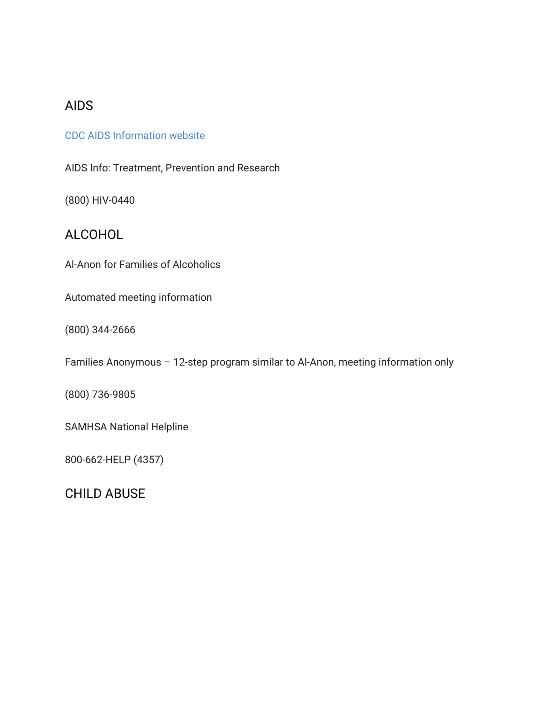## AIDS

#### [CDC AIDS Information website](https://www.gettested.cdc.gov/)

AIDS Info: Treatment, Prevention and Research

(800) HIV-0440

## ALCOHOL

Al-Anon for Families of Alcoholics

Automated meeting information

(800) 344-2666

Families Anonymous – 12-step program similar to Al-Anon, meeting information only

(800) 736-9805

SAMHSA National Helpline

800-662-HELP (4357)

CHILD ABUSE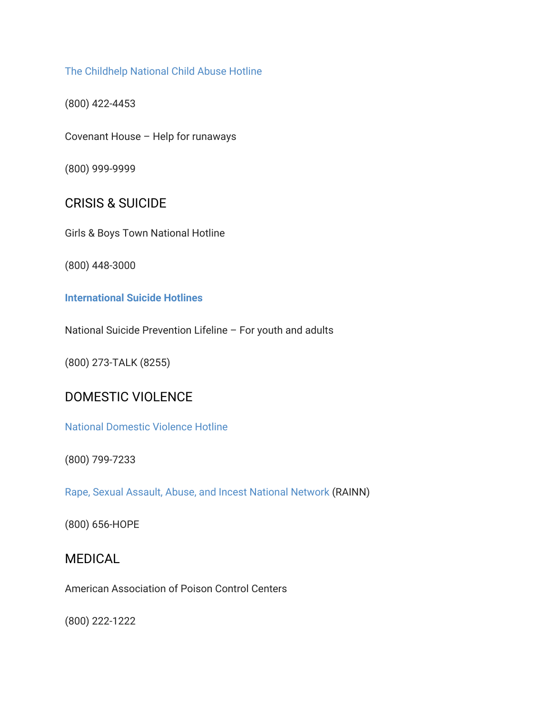#### The [Childhelp](https://www.childhelp.org/hotline/) National Child Abuse Hotline

(800) 422-4453

Covenant House – Help for runaways

(800) 999-9999

### CRISIS & SUICIDE

Girls & Boys Town National Hotline

(800) 448-3000

#### **[International](http://www.befrienders.org/) Suicide Hotlines**

National Suicide Prevention Lifeline – For youth and adults

(800) 273-TALK (8255)

## DOMESTIC VIOLENCE

National [Domestic](http://www.thehotline.org/) Violence Hotline

(800) 799-7233

Rape, Sexual Assault, Abuse, and Incest [National](https://www.rainn.org/) Network (RAINN)

(800) 656-HOPE

### MEDICAL

American Association of Poison Control Centers

(800) 222-1222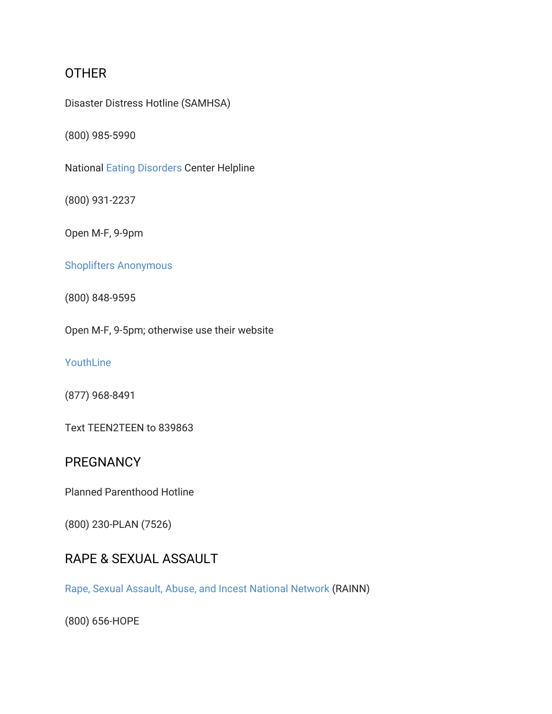## **OTHER**

Disaster Distress Hotline (SAMHSA)

(800) 985-5990

National Eating [Disorders](https://psychcentral.com/eating-disorders/) Center Helpline

(800) 931-2237

Open M-F, 9-9pm

### Shoplifters [Anonymous](http://www.shopliftingprevention.org/)

(800) 848-9595

Open M-F, 9-5pm; otherwise use their website

[YouthLine](http://oregonyouthline.org/)

(877) 968-8491

Text TEEN2TEEN to 839863

## **PREGNANCY**

Planned Parenthood Hotline

(800) 230-PLAN (7526)

## RAPE & SEXUAL ASSAULT

Rape, Sexual Assault, Abuse, and Incest [National](https://www.rainn.org/) Network (RAINN)

(800) 656-HOPE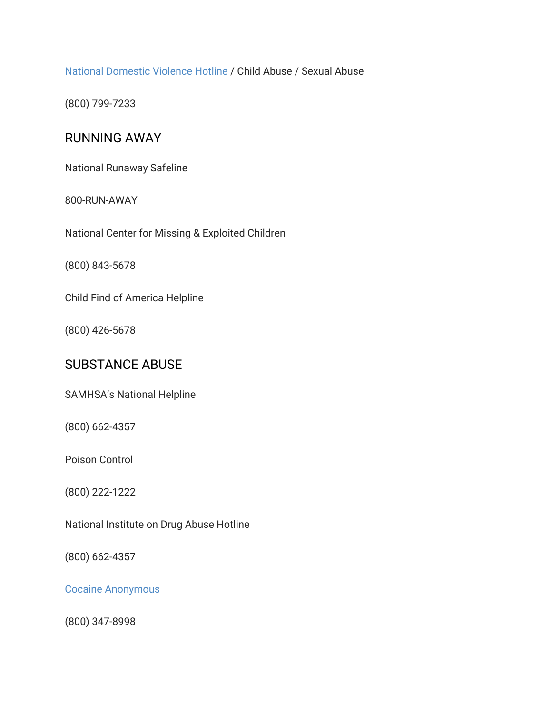National [Domestic](http://www.thehotline.org/) Violence Hotline / Child Abuse / Sexual Abuse

(800) 799-7233

## RUNNING AWAY

National Runaway Safeline

#### 800-RUN-AWAY

National Center for Missing & Exploited Children

(800) 843-5678

Child Find of America Helpline

(800) 426-5678

## SUBSTANCE ABUSE

SAMHSA's National Helpline

(800) 662-4357

Poison Control

(800) 222-1222

National Institute on Drug Abuse Hotline

(800) 662-4357

Cocaine [Anonymous](https://ca.org/)

(800) 347-8998